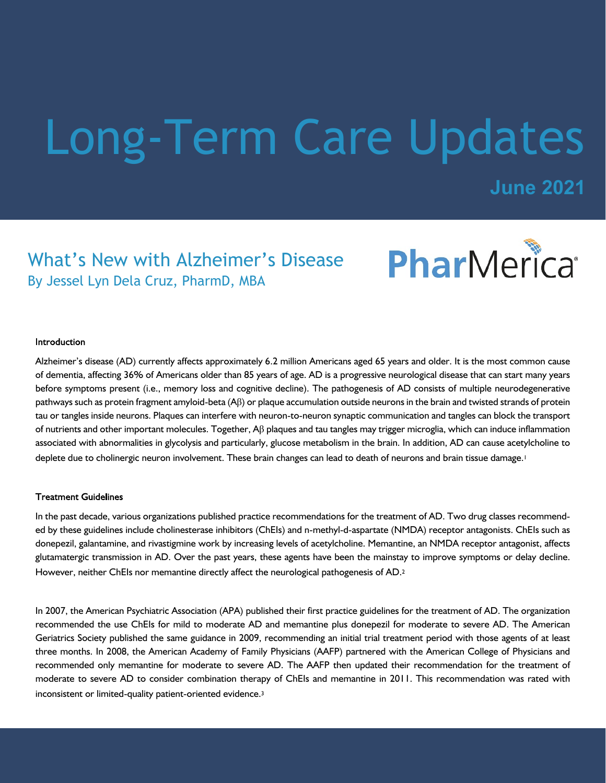# Long-Term Care Updates

**June 2021**

### What's New with Alzheimer's Disease By Jessel Lyn Dela Cruz, PharmD, MBA



#### Introduction

Alzheimer's disease (AD) currently affects approximately 6.2 million Americans aged 65 years and older. It is the most common cause of dementia, affecting 36% of Americans older than 85 years of age. AD is a progressive neurological disease that can start many years before symptoms present (i.e., memory loss and cognitive decline). The pathogenesis of AD consists of multiple neurodegenerative pathways such as protein fragment amyloid-beta (Aβ) or plaque accumulation outside neurons in the brain and twisted strands of protein tau or tangles inside neurons. Plaques can interfere with neuron-to-neuron synaptic communication and tangles can block the transport of nutrients and other important molecules. Together, Aβ plaques and tau tangles may trigger microglia, which can induce inflammation associated with abnormalities in glycolysis and particularly, glucose metabolism in the brain. In addition, AD can cause acetylcholine to deplete due to cholinergic neuron involvement. These brain changes can lead to death of neurons and brain tissue damage.<sup>1</sup>

#### **Treatment Guidelines**

In the past decade, various organizations published practice recommendations for the treatment of AD. Two drug classes recommended by these guidelines include cholinesterase inhibitors (ChEIs) and n-methyl-d-aspartate (NMDA) receptor antagonists. ChEIs such as donepezil, galantamine, and rivastigmine work by increasing levels of acetylcholine. Memantine, an NMDA receptor antagonist, affects glutamatergic transmission in AD. Over the past years, these agents have been the mainstay to improve symptoms or delay decline. However, neither ChEIs nor memantine directly affect the neurological pathogenesis of AD.<sup>2</sup>

In 2007, the American Psychiatric Association (APA) published their first practice guidelines for the treatment of AD. The organization recommended the use ChEIs for mild to moderate AD and memantine plus donepezil for moderate to severe AD. The American Geriatrics Society published the same guidance in 2009, recommending an initial trial treatment period with those agents of at least three months. In 2008, the American Academy of Family Physicians (AAFP) partnered with the American College of Physicians and recommended only memantine for moderate to severe AD. The AAFP then updated their recommendation for the treatment of moderate to severe AD to consider combination therapy of ChEIs and memantine in 2011. This recommendation was rated with inconsistent or limited-quality patient-oriented evidence.<sup>3</sup>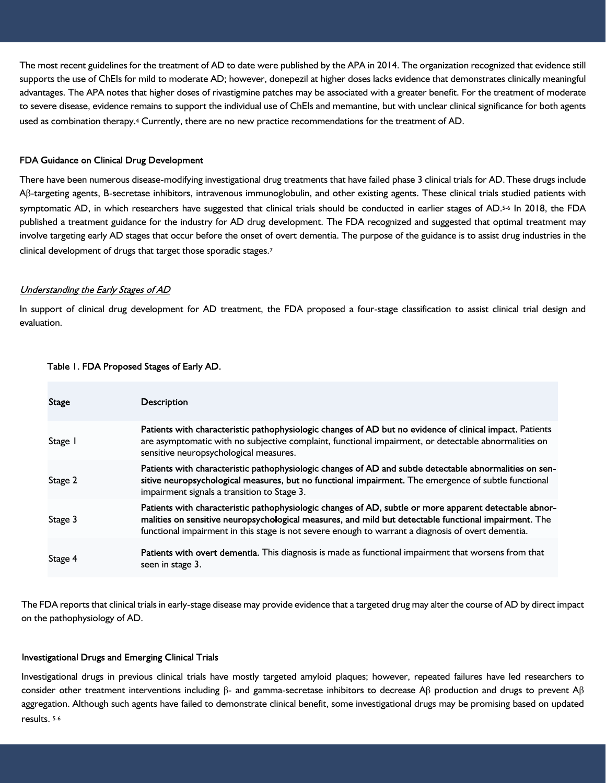The most recent guidelines for the treatment of AD to date were published by the APA in 2014. The organization recognized that evidence still supports the use of ChEIs for mild to moderate AD; however, donepezil at higher doses lacks evidence that demonstrates clinically meaningful advantages. The APA notes that higher doses of rivastigmine patches may be associated with a greater benefit. For the treatment of moderate to severe disease, evidence remains to support the individual use of ChEIs and memantine, but with unclear clinical significance for both agents used as combination therapy.4 Currently, there are no new practice recommendations for the treatment of AD.

#### FDA Guidance on Clinical Drug Development

There have been numerous disease-modifying investigational drug treatments that have failed phase 3 clinical trials for AD.These drugs include Aβ-targeting agents, B-secretase inhibitors, intravenous immunoglobulin, and other existing agents. These clinical trials studied patients with symptomatic AD, in which researchers have suggested that clinical trials should be conducted in earlier stages of AD.<sup>5-6</sup> In 2018, the FDA published a treatment guidance for the industry for AD drug development. The FDA recognized and suggested that optimal treatment may involve targeting early AD stages that occur before the onset of overt dementia. The purpose of the guidance is to assist drug industries in the clinical development of drugs that target those sporadic stages.<sup>7</sup>

#### Understanding the Early Stages of AD

In support of clinical drug development for AD treatment, the FDA proposed a four-stage classification to assist clinical trial design and evaluation.

#### Table I. FDA Proposed Stages of Early AD.

| Stage   | <b>Description</b>                                                                                                                                                                                                                                                                                                    |
|---------|-----------------------------------------------------------------------------------------------------------------------------------------------------------------------------------------------------------------------------------------------------------------------------------------------------------------------|
| Stage I | Patients with characteristic pathophysiologic changes of AD but no evidence of clinical impact. Patients<br>are asymptomatic with no subjective complaint, functional impairment, or detectable abnormalities on<br>sensitive neuropsychological measures.                                                            |
| Stage 2 | Patients with characteristic pathophysiologic changes of AD and subtle detectable abnormalities on sen-<br>sitive neuropsychological measures, but no functional impairment. The emergence of subtle functional<br>impairment signals a transition to Stage 3.                                                        |
| Stage 3 | Patients with characteristic pathophysiologic changes of AD, subtle or more apparent detectable abnor-<br>malities on sensitive neuropsychological measures, and mild but detectable functional impairment. The<br>functional impairment in this stage is not severe enough to warrant a diagnosis of overt dementia. |
| Stage 4 | Patients with overt dementia. This diagnosis is made as functional impairment that worsens from that<br>seen in stage 3.                                                                                                                                                                                              |

The FDA reports that clinical trials in early-stage disease may provide evidence that a targeted drug may alter the course of AD by direct impact on the pathophysiology of AD.

#### **Investigational Drugs and Emerging Clinical Trials**

Investigational drugs in previous clinical trials have mostly targeted amyloid plaques; however, repeated failures have led researchers to consider other treatment interventions including β- and gamma-secretase inhibitors to decrease Aβ production and drugs to prevent Aβ aggregation. Although such agents have failed to demonstrate clinical benefit, some investigational drugs may be promising based on updated results. 5-6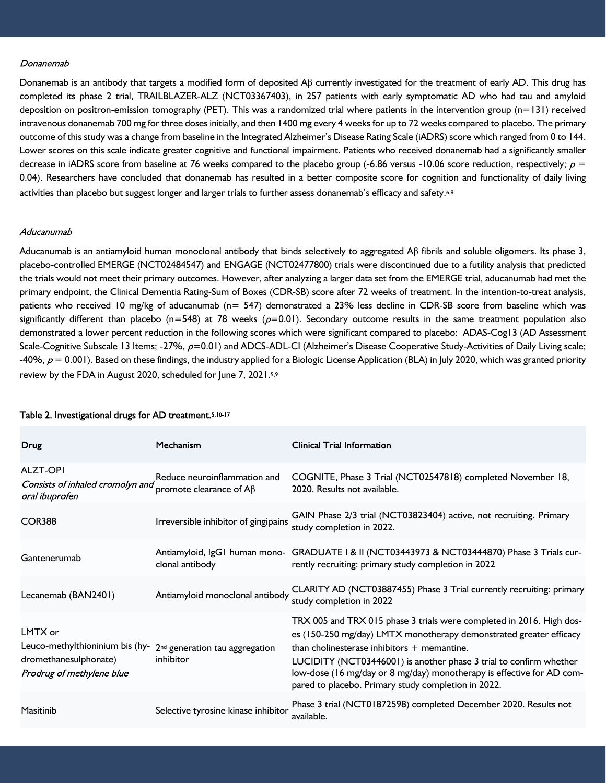#### Donanemab

Donanemab is an antibody that targets a modified form of deposited  $\beta\beta$  currently investigated for the treatment of early AD. This drug has completed its phase 2 trial, TRAILBLAZER-ALZ (NCT03367403), in 257 patients with early symptomatic AD who had tau and amyloid deposition on positron-emission tomography (PET). This was a randomized trial where patients in the intervention group  $(n=131)$  received intravenous donanemab 700 mg for three doses initially, and then 1400 mg every 4 weeks for up to 72 weeks compared to placebo. The primary outcome of this study was a change from baseline in the Integrated Alzheimer's Disease Rating Scale (iADRS) score which ranged from 0 to 144. Lower scores on this scale indicate greater cognitive and functional impairment. Patients who received donanemab had a significantly smaller decrease in iADRS score from baseline at 76 weeks compared to the placebo group (-6.86 versus -10.06 score reduction, respectively;  $p =$ 0.04). Researchers have concluded that donanemab has resulted in a better composite score for cognition and functionality of daily living activities than placebo but suggest longer and larger trials to further assess donanemab's efficacy and safety.6,8

#### Aducanumab

Aducanumab is an antiamyloid human monoclonal antibody that binds selectively to aggregated Aβ fibrils and soluble oligomers. Its phase 3, placebo-controlled EMERGE (NCT02484547) and ENGAGE (NCT02477800) trials were discontinued due to a futility analysis that predicted the trials would not meet their primary outcomes. However, after analyzing a larger data set from the EMERGE trial, aducanumab had met the primary endpoint, the Clinical Dementia Rating-Sum of Boxes (CDR-SB) score after 72 weeks of treatment. In the intention-to-treat analysis, patients who received 10 mg/kg of aducanumab (n= 547) demonstrated a 23% less decline in CDR-SB score from baseline which was significantly different than placebo ( $n=548$ ) at 78 weeks ( $p=0.01$ ). Secondary outcome results in the same treatment population also demonstrated a lower percent reduction in the following scores which were significant compared to placebo: ADAS-Cog13 (AD Assessment Scale-Cognitive Subscale 13 Items; -27%,  $p=0.01$ ) and ADCS-ADL-CI (Alzheimer's Disease Cooperative Study-Activities of Daily Living scale; -40%,  $p = 0.001$ ). Based on these findings, the industry applied for a Biologic License Application (BLA) in July 2020, which was granted priority review by the FDA in August 2020, scheduled for June 7, 2021.5,9

| Drug                                                                                             | Mechanism                                                     | <b>Clinical Trial Information</b>                                                                                                                                                                                                                                                                                                                                                                 |
|--------------------------------------------------------------------------------------------------|---------------------------------------------------------------|---------------------------------------------------------------------------------------------------------------------------------------------------------------------------------------------------------------------------------------------------------------------------------------------------------------------------------------------------------------------------------------------------|
| <b>ALZT-OPI</b><br>Consists of inhaled cromolyn and<br>oral ibuprofen                            | Reduce neuroinflammation and<br>promote clearance of $A\beta$ | COGNITE, Phase 3 Trial (NCT02547818) completed November 18,<br>2020. Results not available.                                                                                                                                                                                                                                                                                                       |
| COR388                                                                                           | Irreversible inhibitor of gingipains                          | GAIN Phase 2/3 trial (NCT03823404) active, not recruiting. Primary<br>study completion in 2022.                                                                                                                                                                                                                                                                                                   |
| Gantenerumab                                                                                     | Antiamyloid, IgG1 human mono-<br>clonal antibody              | GRADUATE I & II (NCT03443973 & NCT03444870) Phase 3 Trials cur-<br>rently recruiting: primary study completion in 2022                                                                                                                                                                                                                                                                            |
| Lecanemab (BAN2401)                                                                              | Antiamyloid monoclonal antibody                               | CLARITY AD (NCT03887455) Phase 3 Trial currently recruiting: primary<br>study completion in 2022                                                                                                                                                                                                                                                                                                  |
| LMTX or<br>Leuco-methylthioninium bis (hy-<br>dromethanesulphonate)<br>Prodrug of methylene blue | 2 <sup>nd</sup> generation tau aggregation<br>inhibitor       | TRX 005 and TRX 015 phase 3 trials were completed in 2016. High dos-<br>es (150-250 mg/day) LMTX monotherapy demonstrated greater efficacy<br>than cholinesterase inhibitors $+$ memantine.<br>LUCIDITY (NCT03446001) is another phase 3 trial to confirm whether<br>low-dose (16 mg/day or 8 mg/day) monotherapy is effective for AD com-<br>pared to placebo. Primary study completion in 2022. |
| Masitinib                                                                                        | Selective tyrosine kinase inhibitor                           | Phase 3 trial (NCT01872598) completed December 2020. Results not<br>available.                                                                                                                                                                                                                                                                                                                    |

#### Table 2. Investigational drugs for AD treatment. 5, 10-17